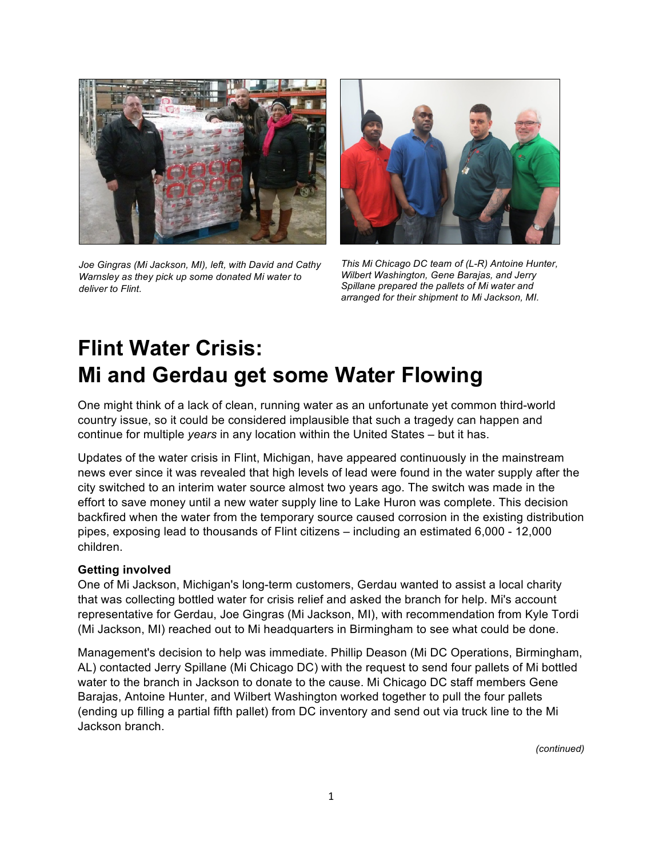

*Joe Gingras (Mi Jackson, MI), left, with David and Cathy Warnsley as they pick up some donated Mi water to deliver to Flint.*



*This Mi Chicago DC team of (L-R) Antoine Hunter, Wilbert Washington, Gene Barajas, and Jerry Spillane prepared the pallets of Mi water and arranged for their shipment to Mi Jackson, MI.*

## **Flint Water Crisis: Mi and Gerdau get some Water Flowing**

One might think of a lack of clean, running water as an unfortunate yet common third-world country issue, so it could be considered implausible that such a tragedy can happen and continue for multiple *years* in any location within the United States – but it has.

Updates of the water crisis in Flint, Michigan, have appeared continuously in the mainstream news ever since it was revealed that high levels of lead were found in the water supply after the city switched to an interim water source almost two years ago. The switch was made in the effort to save money until a new water supply line to Lake Huron was complete. This decision backfired when the water from the temporary source caused corrosion in the existing distribution pipes, exposing lead to thousands of Flint citizens – including an estimated 6,000 - 12,000 children.

## **Getting involved**

One of Mi Jackson, Michigan's long-term customers, Gerdau wanted to assist a local charity that was collecting bottled water for crisis relief and asked the branch for help. Mi's account representative for Gerdau, Joe Gingras (Mi Jackson, MI), with recommendation from Kyle Tordi (Mi Jackson, MI) reached out to Mi headquarters in Birmingham to see what could be done.

Management's decision to help was immediate. Phillip Deason (Mi DC Operations, Birmingham, AL) contacted Jerry Spillane (Mi Chicago DC) with the request to send four pallets of Mi bottled water to the branch in Jackson to donate to the cause. Mi Chicago DC staff members Gene Barajas, Antoine Hunter, and Wilbert Washington worked together to pull the four pallets (ending up filling a partial fifth pallet) from DC inventory and send out via truck line to the Mi Jackson branch.

*(continued)*